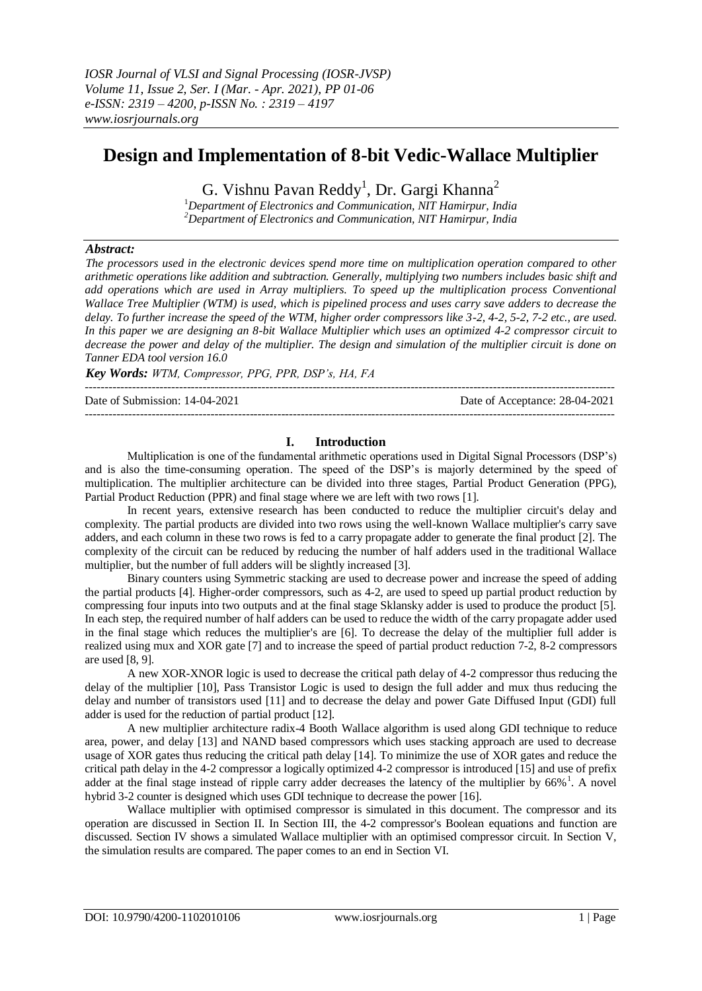# **Design and Implementation of 8-bit Vedic-Wallace Multiplier**

G. Vishnu Pavan Reddy<sup>1</sup>, Dr. Gargi Khanna<sup>2</sup>

<sup>1</sup>*Department of Electronics and Communication, NIT Hamirpur, India <sup>2</sup>Department of Electronics and Communication, NIT Hamirpur, India*

# *Abstract:*

*The processors used in the electronic devices spend more time on multiplication operation compared to other arithmetic operations like addition and subtraction. Generally, multiplying two numbers includes basic shift and add operations which are used in Array multipliers. To speed up the multiplication process Conventional Wallace Tree Multiplier (WTM) is used, which is pipelined process and uses carry save adders to decrease the delay. To further increase the speed of the WTM, higher order compressors like 3-2, 4-2, 5-2, 7-2 etc., are used. In this paper we are designing an 8-bit Wallace Multiplier which uses an optimized 4-2 compressor circuit to decrease the power and delay of the multiplier. The design and simulation of the multiplier circuit is done on Tanner EDA tool version 16.0*

*Key Words: WTM, Compressor, PPG, PPR, DSP's, HA, FA*

---------------------------------------------------------------------------------------------------------------------------------------

Date of Submission: 14-04-2021 Date of Acceptance: 28-04-2021

# **I. Introduction**

Multiplication is one of the fundamental arithmetic operations used in Digital Signal Processors (DSP's) and is also the time-consuming operation. The speed of the DSP's is majorly determined by the speed of multiplication. The multiplier architecture can be divided into three stages, Partial Product Generation (PPG), Partial Product Reduction (PPR) and final stage where we are left with two rows [1].

---------------------------------------------------------------------------------------------------------------------------------------

In recent years, extensive research has been conducted to reduce the multiplier circuit's delay and complexity. The partial products are divided into two rows using the well-known Wallace multiplier's carry save adders, and each column in these two rows is fed to a carry propagate adder to generate the final product [2]. The complexity of the circuit can be reduced by reducing the number of half adders used in the traditional Wallace multiplier, but the number of full adders will be slightly increased [3].

Binary counters using Symmetric stacking are used to decrease power and increase the speed of adding the partial products [4]. Higher-order compressors, such as 4-2, are used to speed up partial product reduction by compressing four inputs into two outputs and at the final stage Sklansky adder is used to produce the product [5]. In each step, the required number of half adders can be used to reduce the width of the carry propagate adder used in the final stage which reduces the multiplier's are [6]. To decrease the delay of the multiplier full adder is realized using mux and XOR gate [7] and to increase the speed of partial product reduction 7-2, 8-2 compressors are used [8, 9].

A new XOR-XNOR logic is used to decrease the critical path delay of 4-2 compressor thus reducing the delay of the multiplier [10], Pass Transistor Logic is used to design the full adder and mux thus reducing the delay and number of transistors used [11] and to decrease the delay and power Gate Diffused Input (GDI) full adder is used for the reduction of partial product [12].

A new multiplier architecture radix-4 Booth Wallace algorithm is used along GDI technique to reduce area, power, and delay [13] and NAND based compressors which uses stacking approach are used to decrease usage of XOR gates thus reducing the critical path delay [14]. To minimize the use of XOR gates and reduce the critical path delay in the 4-2 compressor a logically optimized 4-2 compressor is introduced [15] and use of prefix adder at the final stage instead of ripple carry adder decreases the latency of the multiplier by  $66\%$ <sup>1</sup>. A novel hybrid 3-2 counter is designed which uses GDI technique to decrease the power [16].

Wallace multiplier with optimised compressor is simulated in this document. The compressor and its operation are discussed in Section II. In Section III, the 4-2 compressor's Boolean equations and function are discussed. Section IV shows a simulated Wallace multiplier with an optimised compressor circuit. In Section V, the simulation results are compared. The paper comes to an end in Section VI.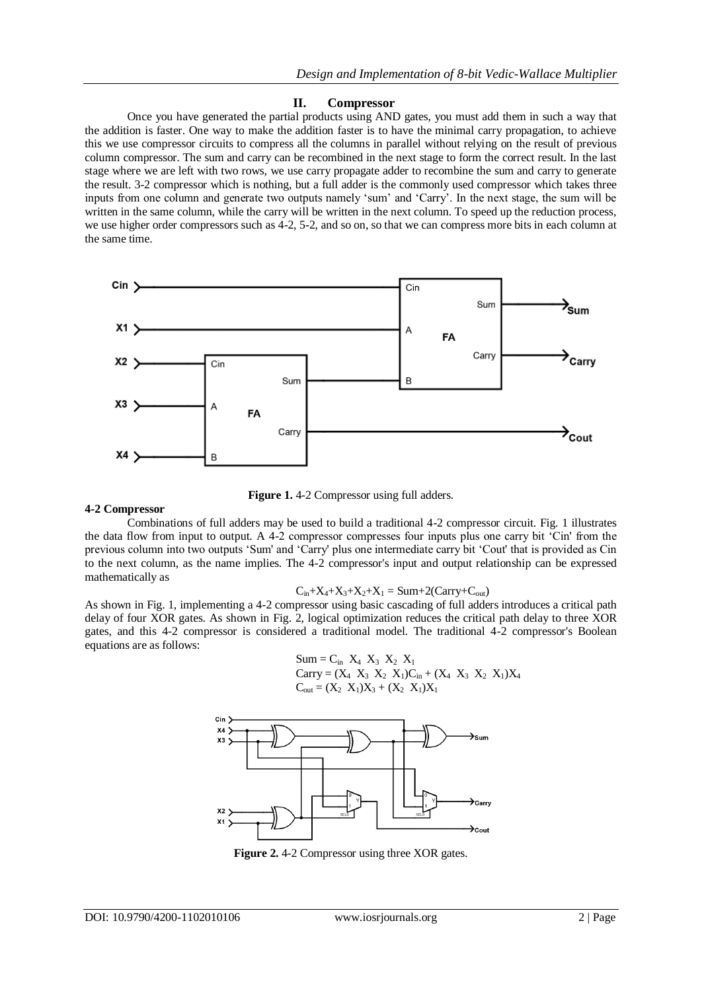### **II. Compressor**

Once you have generated the partial products using AND gates, you must add them in such a way that the addition is faster. One way to make the addition faster is to have the minimal carry propagation, to achieve this we use compressor circuits to compress all the columns in parallel without relying on the result of previous column compressor. The sum and carry can be recombined in the next stage to form the correct result. In the last stage where we are left with two rows, we use carry propagate adder to recombine the sum and carry to generate the result. 3-2 compressor which is nothing, but a full adder is the commonly used compressor which takes three inputs from one column and generate two outputs namely 'sum' and 'Carry'. In the next stage, the sum will be written in the same column, while the carry will be written in the next column. To speed up the reduction process, we use higher order compressors such as 4-2, 5-2, and so on, so that we can compress more bits in each column at the same time.



**Figure 1.** 4-2 Compressor using full adders.

#### **4-2 Compressor**

Combinations of full adders may be used to build a traditional 4-2 compressor circuit. Fig. 1 illustrates the data flow from input to output. A 4-2 compressor compresses four inputs plus one carry bit 'Cin' from the previous column into two outputs 'Sum' and 'Carry' plus one intermediate carry bit 'Cout' that is provided as Cin to the next column, as the name implies. The 4-2 compressor's input and output relationship can be expressed mathematically as

$$
C_{in}+X_4+X_3+X_2+X_1 = Sum+2(Carry+C_{out})
$$

As shown in Fig. 1, implementing a 4-2 compressor using basic cascading of full adders introduces a critical path delay of four XOR gates. As shown in Fig. 2, logical optimization reduces the critical path delay to three XOR gates, and this 4-2 compressor is considered a traditional model. The traditional 4-2 compressor's Boolean equations are as follows:

 Sum = Cin X4 X3 X2 X<sup>1</sup> Carry = (X4 X3 X2 X1)Cin + (X4 X3 X2 X1)X<sup>4</sup> Cout = (X2 X1)X<sup>3</sup> + (X2 X1)X<sup>1</sup>



Figure 2.4-2 Compressor using three XOR gates.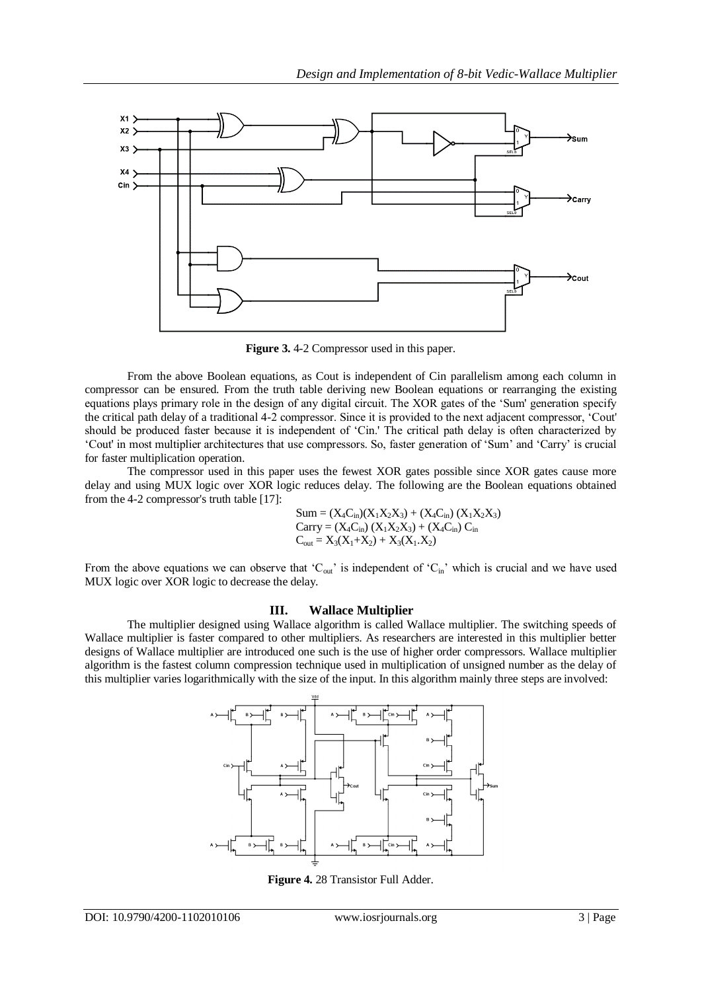

**Figure 3.** 4-2 Compressor used in this paper.

From the above Boolean equations, as Cout is independent of Cin parallelism among each column in compressor can be ensured. From the truth table deriving new Boolean equations or rearranging the existing equations plays primary role in the design of any digital circuit. The XOR gates of the 'Sum' generation specify the critical path delay of a traditional 4-2 compressor. Since it is provided to the next adjacent compressor, 'Cout' should be produced faster because it is independent of 'Cin.' The critical path delay is often characterized by 'Cout' in most multiplier architectures that use compressors. So, faster generation of 'Sum' and 'Carry' is crucial for faster multiplication operation.

The compressor used in this paper uses the fewest XOR gates possible since XOR gates cause more delay and using MUX logic over XOR logic reduces delay. The following are the Boolean equations obtained from the 4-2 compressor's truth table [17]:

Sum = 
$$
(X_4C_{in})(X_1X_2X_3) + (X_4C_{in})(X_1X_2X_3)
$$
  
Carry =  $(X_4C_{in})(X_1X_2X_3) + (X_4C_{in})C_{in}$   
 $C_{out} = X_3(X_1+X_2) + X_3(X_1.X_2)$ 

From the above equations we can observe that ' $C_{\text{out}}$ ' is independent of ' $C_{\text{in}}$ ' which is crucial and we have used MUX logic over XOR logic to decrease the delay.

# **III. Wallace Multiplier**

The multiplier designed using Wallace algorithm is called Wallace multiplier. The switching speeds of Wallace multiplier is faster compared to other multipliers. As researchers are interested in this multiplier better designs of Wallace multiplier are introduced one such is the use of higher order compressors. Wallace multiplier algorithm is the fastest column compression technique used in multiplication of unsigned number as the delay of this multiplier varies logarithmically with the size of the input. In this algorithm mainly three steps are involved:



**Figure 4.** 28 Transistor Full Adder.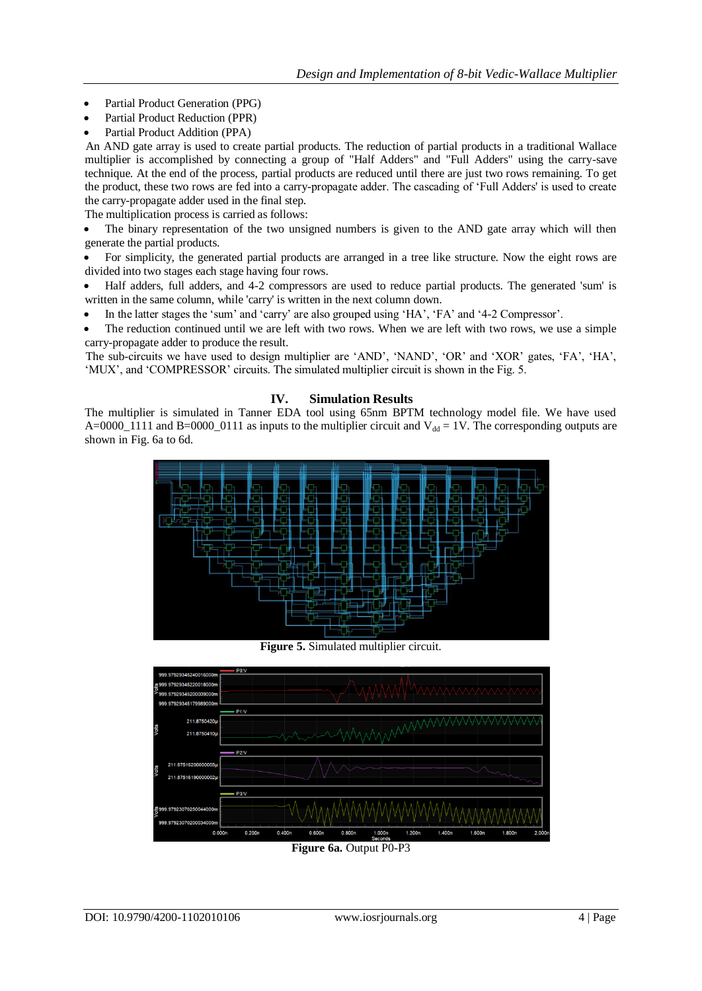- Partial Product Generation (PPG)
- Partial Product Reduction (PPR)
- Partial Product Addition (PPA)

An AND gate array is used to create partial products. The reduction of partial products in a traditional Wallace multiplier is accomplished by connecting a group of "Half Adders" and "Full Adders" using the carry-save technique. At the end of the process, partial products are reduced until there are just two rows remaining. To get the product, these two rows are fed into a carry-propagate adder. The cascading of 'Full Adders' is used to create the carry-propagate adder used in the final step.

The multiplication process is carried as follows:

 The binary representation of the two unsigned numbers is given to the AND gate array which will then generate the partial products.

 For simplicity, the generated partial products are arranged in a tree like structure. Now the eight rows are divided into two stages each stage having four rows.

 Half adders, full adders, and 4-2 compressors are used to reduce partial products. The generated 'sum' is written in the same column, while 'carry' is written in the next column down.

In the latter stages the 'sum' and 'carry' are also grouped using 'HA', 'FA' and '4-2 Compressor'.

 The reduction continued until we are left with two rows. When we are left with two rows, we use a simple carry-propagate adder to produce the result.

The sub-circuits we have used to design multiplier are 'AND', 'NAND', 'OR' and 'XOR' gates, 'FA', 'HA', 'MUX', and 'COMPRESSOR' circuits. The simulated multiplier circuit is shown in the Fig. 5.

# **IV. Simulation Results**

The multiplier is simulated in Tanner EDA tool using 65nm BPTM technology model file. We have used A=0000\_1111 and B=0000\_0111 as inputs to the multiplier circuit and  $V_{dd} = 1V$ . The corresponding outputs are shown in Fig. 6a to 6d.



**Figure 5.** Simulated multiplier circuit.

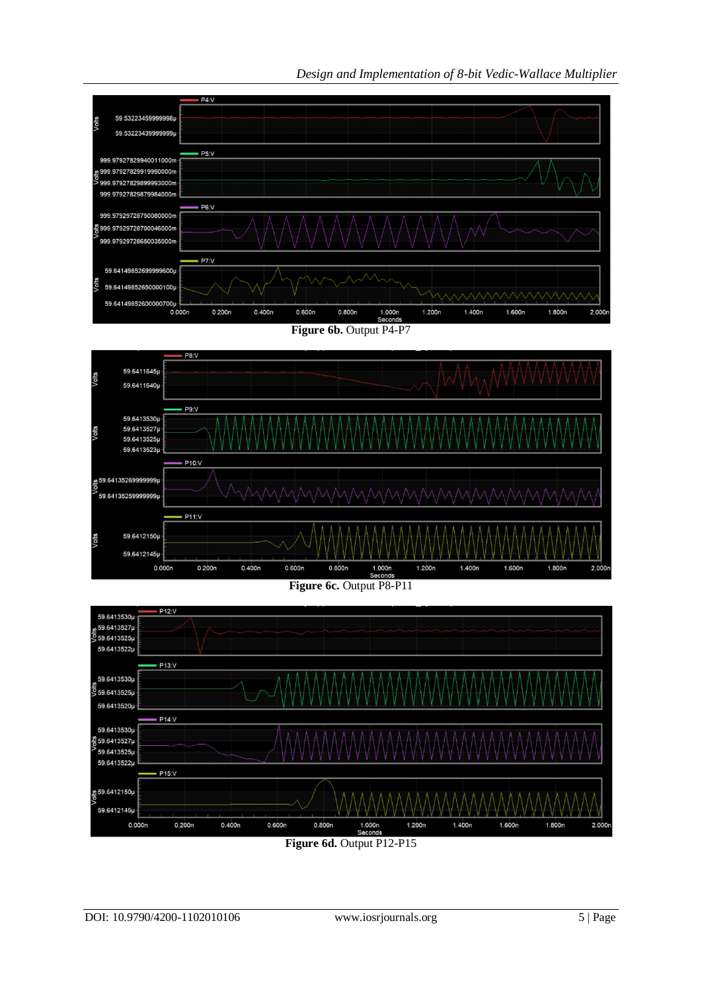*Design and Implementation of 8-bit Vedic-Wallace Multiplier*







**Figure 6d.** Output P12-P15